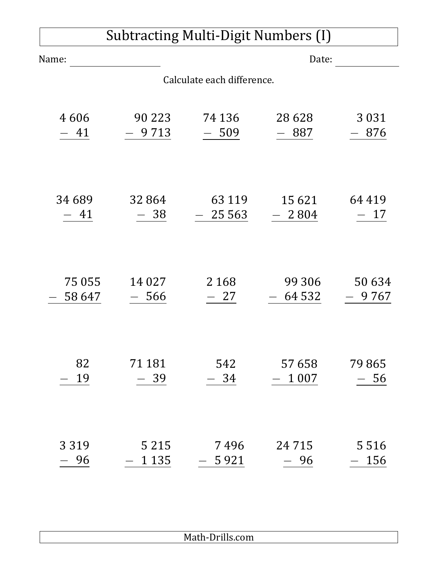| Subtracting Multi-Digit Numbers (I) |          |                            |         |          |  |  |  |
|-------------------------------------|----------|----------------------------|---------|----------|--|--|--|
| Name:                               | Date:    |                            |         |          |  |  |  |
|                                     |          | Calculate each difference. |         |          |  |  |  |
| 4606                                | 90 2 2 3 | 74 136                     | 28 6 28 | 3 0 3 1  |  |  |  |
| - 41                                | - 9713   | $-509$                     | - 887   | 876      |  |  |  |
| 34 689                              | 32 864   | 63 1 1 9                   | 15 6 21 | 64 4 1 9 |  |  |  |
| -41                                 | 38       | 25 5 63                    | $-2804$ | 17       |  |  |  |
| 75 055                              | 14 0 27  | 2 1 6 8                    | 99 30 6 | 50 634   |  |  |  |
| 58 647                              | 566      | - 27                       | 64 5 32 | 9767     |  |  |  |
| 82                                  | 71 181   | 542                        | 57 658  | 79865    |  |  |  |
| 19                                  | - 39     | 34                         | 1 0 0 7 | - 56     |  |  |  |
| 3 3 1 9                             | 5 2 1 5  | 7496                       | 24 7 15 | 5516     |  |  |  |
| 96                                  | 1 1 3 5  | 5 9 2 1                    | 96      | 156      |  |  |  |

## Math-Drills.com